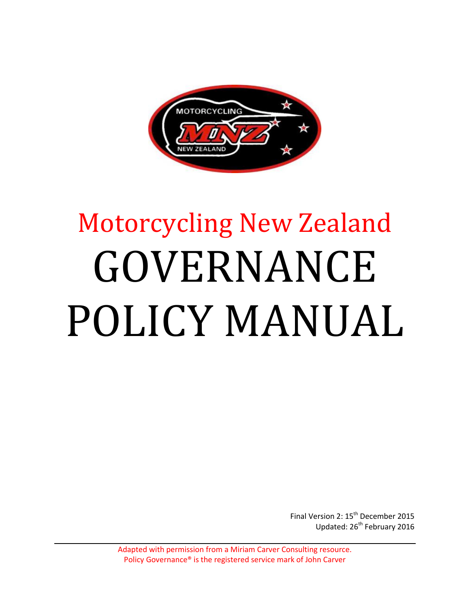

# Motorcycling New Zealand GOVERNANCE POLICY MANUAL

Final Version 2: 15<sup>th</sup> December 2015 Updated: 26<sup>th</sup> February 2016

Adapted with permission from a Miriam Carver Consulting resource. Policy Governance® is the registered service mark of John Carver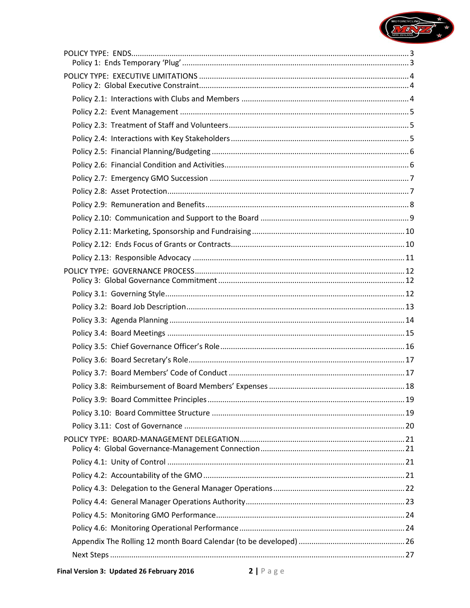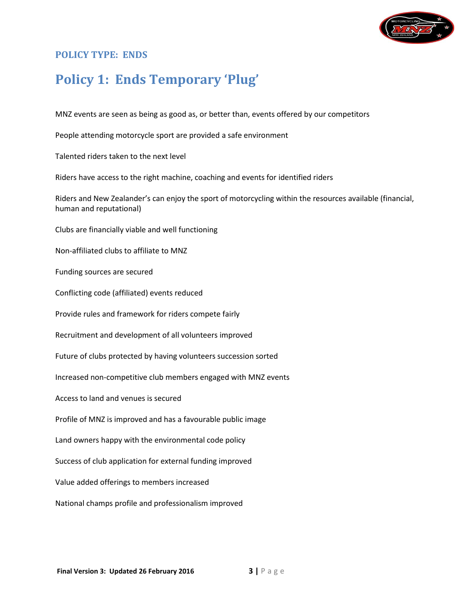

#### <span id="page-2-0"></span>**POLICY TYPE: ENDS**

# <span id="page-2-1"></span>**Policy 1: Ends Temporary 'Plug'**

MNZ events are seen as being as good as, or better than, events offered by our competitors

People attending motorcycle sport are provided a safe environment

Talented riders taken to the next level

Riders have access to the right machine, coaching and events for identified riders

Riders and New Zealander's can enjoy the sport of motorcycling within the resources available (financial, human and reputational)

Clubs are financially viable and well functioning

Non-affiliated clubs to affiliate to MNZ

Funding sources are secured

Conflicting code (affiliated) events reduced

Provide rules and framework for riders compete fairly

Recruitment and development of all volunteers improved

Future of clubs protected by having volunteers succession sorted

Increased non-competitive club members engaged with MNZ events

Access to land and venues is secured

Profile of MNZ is improved and has a favourable public image

Land owners happy with the environmental code policy

Success of club application for external funding improved

Value added offerings to members increased

National champs profile and professionalism improved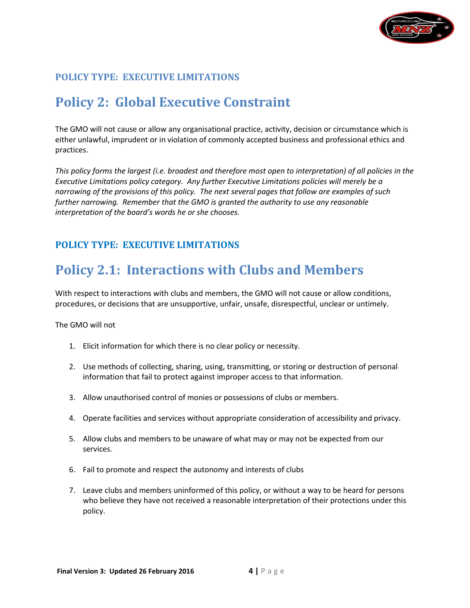

# <span id="page-3-1"></span><span id="page-3-0"></span>**Policy 2: Global Executive Constraint**

The GMO will not cause or allow any organisational practice, activity, decision or circumstance which is either unlawful, imprudent or in violation of commonly accepted business and professional ethics and practices.

*This policy forms the largest (i.e. broadest and therefore most open to interpretation) of all policies in the Executive Limitations policy category. Any further Executive Limitations policies will merely be a narrowing of the provisions of this policy. The next several pages that follow are examples of such further narrowing. Remember that the GMO is granted the authority to use any reasonable interpretation of the board's words he or she chooses.*

#### **POLICY TYPE: EXECUTIVE LIMITATIONS**

## <span id="page-3-2"></span>**Policy 2.1: Interactions with Clubs and Members**

With respect to interactions with clubs and members, the GMO will not cause or allow conditions, procedures, or decisions that are unsupportive, unfair, unsafe, disrespectful, unclear or untimely.

- 1. Elicit information for which there is no clear policy or necessity.
- 2. Use methods of collecting, sharing, using, transmitting, or storing or destruction of personal information that fail to protect against improper access to that information.
- 3. Allow unauthorised control of monies or possessions of clubs or members.
- 4. Operate facilities and services without appropriate consideration of accessibility and privacy.
- 5. Allow clubs and members to be unaware of what may or may not be expected from our services.
- 6. Fail to promote and respect the autonomy and interests of clubs
- 7. Leave clubs and members uninformed of this policy, or without a way to be heard for persons who believe they have not received a reasonable interpretation of their protections under this policy.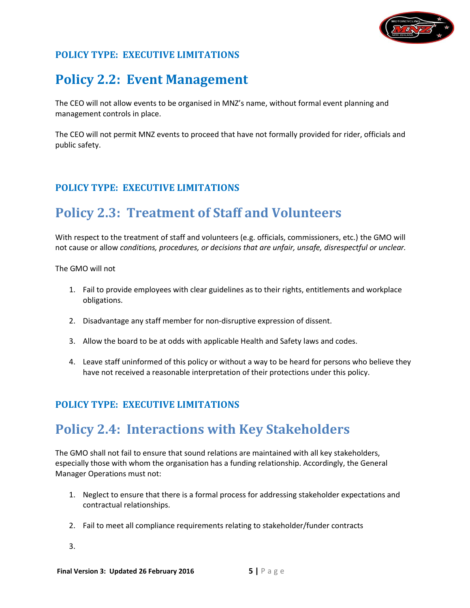

## <span id="page-4-0"></span>**Policy 2.2: Event Management**

The CEO will not allow events to be organised in MNZ's name, without formal event planning and management controls in place.

The CEO will not permit MNZ events to proceed that have not formally provided for rider, officials and public safety.

## **POLICY TYPE: EXECUTIVE LIMITATIONS**

## <span id="page-4-1"></span>**Policy 2.3: Treatment of Staff and Volunteers**

With respect to the treatment of staff and volunteers (e.g. officials, commissioners, etc.) the GMO will not cause or allow *conditions, procedures, or decisions that are unfair, unsafe, disrespectful or unclear.*

The GMO will not

- 1. Fail to provide employees with clear guidelines as to their rights, entitlements and workplace obligations.
- 2. Disadvantage any staff member for non-disruptive expression of dissent.
- 3. Allow the board to be at odds with applicable Health and Safety laws and codes.
- 4. Leave staff uninformed of this policy or without a way to be heard for persons who believe they have not received a reasonable interpretation of their protections under this policy.

## <span id="page-4-2"></span>**POLICY TYPE: EXECUTIVE LIMITATIONS**

## **Policy 2.4: Interactions with Key Stakeholders**

The GMO shall not fail to ensure that sound relations are maintained with all key stakeholders, especially those with whom the organisation has a funding relationship. Accordingly, the General Manager Operations must not:

- 1. Neglect to ensure that there is a formal process for addressing stakeholder expectations and contractual relationships.
- 2. Fail to meet all compliance requirements relating to stakeholder/funder contracts
- 3.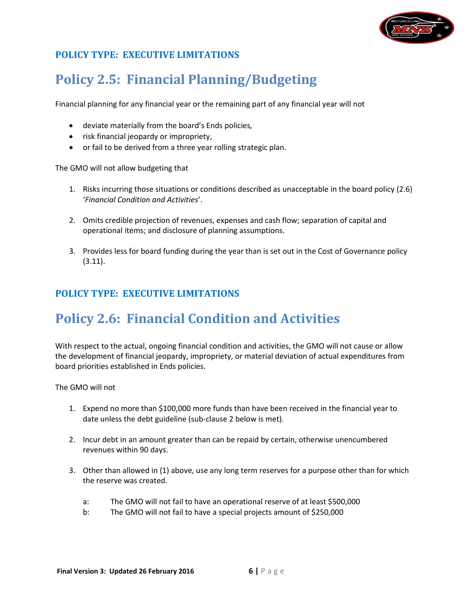

# <span id="page-5-0"></span>**Policy 2.5: Financial Planning/Budgeting**

Financial planning for any financial year or the remaining part of any financial year will not

- deviate materially from the board's Ends policies*,*
- risk financial jeopardy or impropriety,
- or fail to be derived from a three year rolling strategic plan.

The GMO will not allow budgeting that

- 1. Risks incurring those situations or conditions described as unacceptable in the board policy (2.6) '*Financial Condition and Activities*'.
- 2. Omits credible projection of revenues, expenses and cash flow; separation of capital and operational items; and disclosure of planning assumptions.
- 3. Provides less for board funding during the year than is set out in the Cost of Governance policy (3.11).

## **POLICY TYPE: EXECUTIVE LIMITATIONS**

# <span id="page-5-1"></span>**Policy 2.6: Financial Condition and Activities**

With respect to the actual, ongoing financial condition and activities, the GMO will not cause or allow the development of financial jeopardy, impropriety, or material deviation of actual expenditures from board priorities established in Ends policies.

- 1. Expend no more than \$100,000 more funds than have been received in the financial year to date unless the debt guideline (sub-clause 2 below is met).
- 2. Incur debt in an amount greater than can be repaid by certain, otherwise unencumbered revenues within 90 days.
- 3. Other than allowed in (1) above, use any long term reserves for a purpose other than for which the reserve was created.
	- a: The GMO will not fail to have an operational reserve of at least \$500,000
	- b: The GMO will not fail to have a special projects amount of \$250,000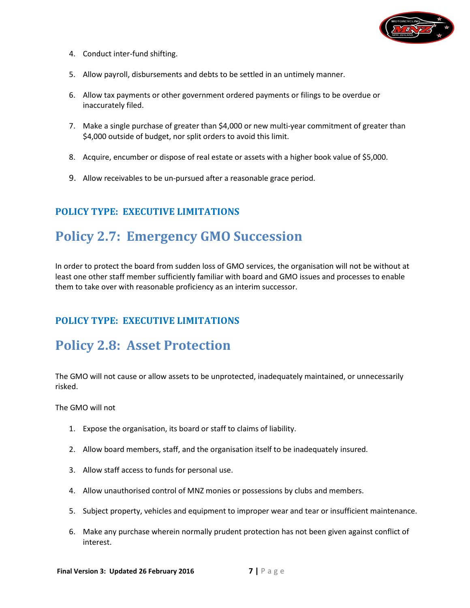

- 4. Conduct inter-fund shifting.
- 5. Allow payroll, disbursements and debts to be settled in an untimely manner.
- 6. Allow tax payments or other government ordered payments or filings to be overdue or inaccurately filed.
- 7. Make a single purchase of greater than \$4,000 or new multi-year commitment of greater than \$4,000 outside of budget, nor split orders to avoid this limit.
- 8. Acquire, encumber or dispose of real estate or assets with a higher book value of \$5,000.
- 9. Allow receivables to be un-pursued after a reasonable grace period.

## <span id="page-6-0"></span>**Policy 2.7: Emergency GMO Succession**

In order to protect the board from sudden loss of GMO services, the organisation will not be without at least one other staff member sufficiently familiar with board and GMO issues and processes to enable them to take over with reasonable proficiency as an interim successor.

#### **POLICY TYPE: EXECUTIVE LIMITATIONS**

## <span id="page-6-1"></span>**Policy 2.8: Asset Protection**

The GMO will not cause or allow assets to be unprotected, inadequately maintained, or unnecessarily risked.

- 1. Expose the organisation, its board or staff to claims of liability.
- 2. Allow board members, staff, and the organisation itself to be inadequately insured.
- 3. Allow staff access to funds for personal use.
- 4. Allow unauthorised control of MNZ monies or possessions by clubs and members.
- 5. Subject property, vehicles and equipment to improper wear and tear or insufficient maintenance.
- 6. Make any purchase wherein normally prudent protection has not been given against conflict of interest.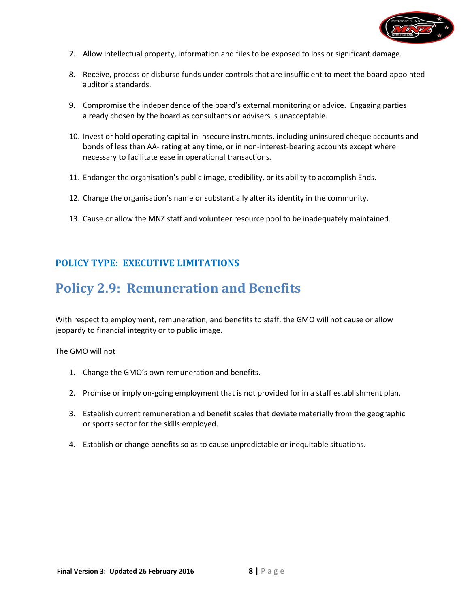

- 7. Allow intellectual property, information and files to be exposed to loss or significant damage.
- 8. Receive, process or disburse funds under controls that are insufficient to meet the board-appointed auditor's standards.
- 9. Compromise the independence of the board's external monitoring or advice. Engaging parties already chosen by the board as consultants or advisers is unacceptable.
- 10. Invest or hold operating capital in insecure instruments, including uninsured cheque accounts and bonds of less than AA- rating at any time, or in non-interest-bearing accounts except where necessary to facilitate ease in operational transactions.
- 11. Endanger the organisation's public image, credibility, or its ability to accomplish Ends.
- 12. Change the organisation's name or substantially alter its identity in the community.
- 13. Cause or allow the MNZ staff and volunteer resource pool to be inadequately maintained.

## <span id="page-7-0"></span>**Policy 2.9: Remuneration and Benefits**

With respect to employment, remuneration, and benefits to staff, the GMO will not cause or allow jeopardy to financial integrity or to public image.

- 1. Change the GMO's own remuneration and benefits.
- 2. Promise or imply on-going employment that is not provided for in a staff establishment plan.
- 3. Establish current remuneration and benefit scales that deviate materially from the geographic or sports sector for the skills employed.
- 4. Establish or change benefits so as to cause unpredictable or inequitable situations.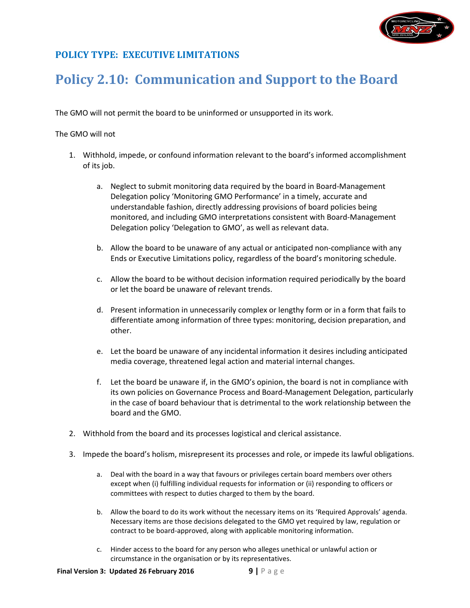

## <span id="page-8-0"></span>**Policy 2.10: Communication and Support to the Board**

The GMO will not permit the board to be uninformed or unsupported in its work.

- 1. Withhold, impede, or confound information relevant to the board's informed accomplishment of its job.
	- a. Neglect to submit monitoring data required by the board in Board-Management Delegation policy 'Monitoring GMO Performance' in a timely, accurate and understandable fashion, directly addressing provisions of board policies being monitored, and including GMO interpretations consistent with Board-Management Delegation policy 'Delegation to GMO', as well as relevant data.
	- b. Allow the board to be unaware of any actual or anticipated non-compliance with any Ends or Executive Limitations policy, regardless of the board's monitoring schedule.
	- c. Allow the board to be without decision information required periodically by the board or let the board be unaware of relevant trends.
	- d. Present information in unnecessarily complex or lengthy form or in a form that fails to differentiate among information of three types: monitoring, decision preparation, and other.
	- e. Let the board be unaware of any incidental information it desires including anticipated media coverage, threatened legal action and material internal changes.
	- f. Let the board be unaware if, in the GMO's opinion, the board is not in compliance with its own policies on Governance Process and Board-Management Delegation, particularly in the case of board behaviour that is detrimental to the work relationship between the board and the GMO.
- 2. Withhold from the board and its processes logistical and clerical assistance.
- 3. Impede the board's holism, misrepresent its processes and role, or impede its lawful obligations.
	- a. Deal with the board in a way that favours or privileges certain board members over others except when (i) fulfilling individual requests for information or (ii) responding to officers or committees with respect to duties charged to them by the board.
	- b. Allow the board to do its work without the necessary items on its 'Required Approvals' agenda. Necessary items are those decisions delegated to the GMO yet required by law, regulation or contract to be board-approved, along with applicable monitoring information.
	- c. Hinder access to the board for any person who alleges unethical or unlawful action or circumstance in the organisation or by its representatives.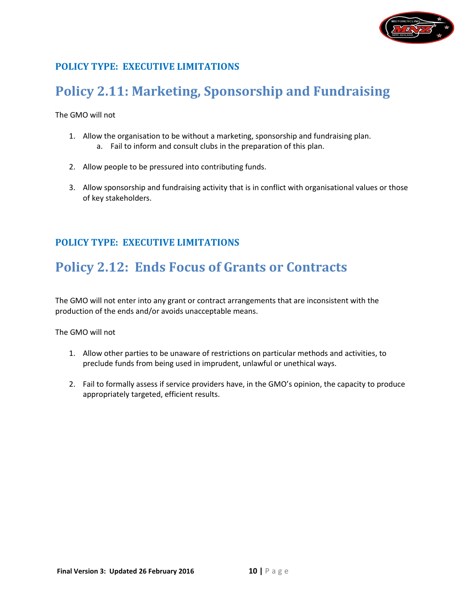

# <span id="page-9-0"></span>**Policy 2.11: Marketing, Sponsorship and Fundraising**

The GMO will not

- 1. Allow the organisation to be without a marketing, sponsorship and fundraising plan.
	- a. Fail to inform and consult clubs in the preparation of this plan.
- 2. Allow people to be pressured into contributing funds.
- 3. Allow sponsorship and fundraising activity that is in conflict with organisational values or those of key stakeholders.

## **POLICY TYPE: EXECUTIVE LIMITATIONS**

## <span id="page-9-1"></span>**Policy 2.12: Ends Focus of Grants or Contracts**

The GMO will not enter into any grant or contract arrangements that are inconsistent with the production of the ends and/or avoids unacceptable means.

- 1. Allow other parties to be unaware of restrictions on particular methods and activities, to preclude funds from being used in imprudent, unlawful or unethical ways.
- 2. Fail to formally assess if service providers have, in the GMO's opinion, the capacity to produce appropriately targeted, efficient results.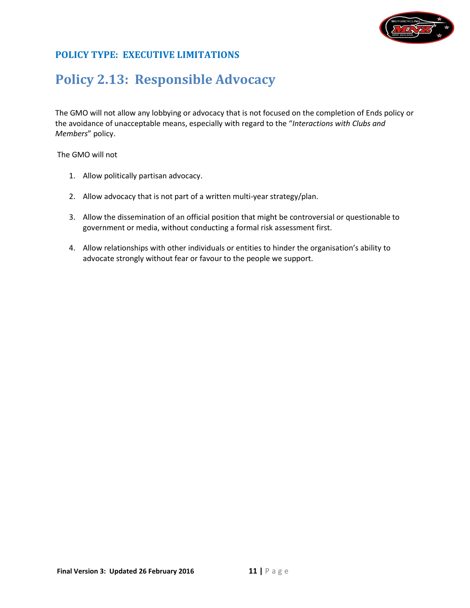

## <span id="page-10-0"></span>**Policy 2.13: Responsible Advocacy**

The GMO will not allow any lobbying or advocacy that is not focused on the completion of Ends policy or the avoidance of unacceptable means, especially with regard to the "*Interactions with Clubs and Members*" policy.

- 1. Allow politically partisan advocacy.
- 2. Allow advocacy that is not part of a written multi-year strategy/plan.
- 3. Allow the dissemination of an official position that might be controversial or questionable to government or media, without conducting a formal risk assessment first.
- 4. Allow relationships with other individuals or entities to hinder the organisation's ability to advocate strongly without fear or favour to the people we support.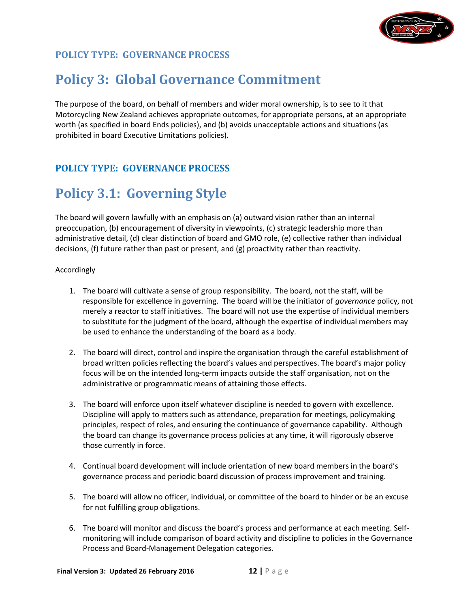

## <span id="page-11-1"></span><span id="page-11-0"></span>**Policy 3: Global Governance Commitment**

The purpose of the board, on behalf of members and wider moral ownership, is to see to it that Motorcycling New Zealand achieves appropriate outcomes, for appropriate persons, at an appropriate worth (as specified in board Ends policies), and (b) avoids unacceptable actions and situations (as prohibited in board Executive Limitations policies).

#### <span id="page-11-2"></span>**POLICY TYPE: GOVERNANCE PROCESS**

## **Policy 3.1: Governing Style**

The board will govern lawfully with an emphasis on (a) outward vision rather than an internal preoccupation, (b) encouragement of diversity in viewpoints, (c) strategic leadership more than administrative detail, (d) clear distinction of board and GMO role, (e) collective rather than individual decisions, (f) future rather than past or present, and (g) proactivity rather than reactivity.

#### Accordingly

- 1. The board will cultivate a sense of group responsibility. The board, not the staff, will be responsible for excellence in governing. The board will be the initiator of *governance* policy, not merely a reactor to staff initiatives. The board will not use the expertise of individual members to substitute for the judgment of the board, although the expertise of individual members may be used to enhance the understanding of the board as a body.
- 2. The board will direct, control and inspire the organisation through the careful establishment of broad written policies reflecting the board's values and perspectives. The board's major policy focus will be on the intended long-term impacts outside the staff organisation, not on the administrative or programmatic means of attaining those effects.
- 3. The board will enforce upon itself whatever discipline is needed to govern with excellence. Discipline will apply to matters such as attendance, preparation for meetings, policymaking principles, respect of roles, and ensuring the continuance of governance capability. Although the board can change its governance process policies at any time, it will rigorously observe those currently in force.
- 4. Continual board development will include orientation of new board members in the board's governance process and periodic board discussion of process improvement and training.
- 5. The board will allow no officer, individual, or committee of the board to hinder or be an excuse for not fulfilling group obligations.
- 6. The board will monitor and discuss the board's process and performance at each meeting. Selfmonitoring will include comparison of board activity and discipline to policies in the Governance Process and Board-Management Delegation categories.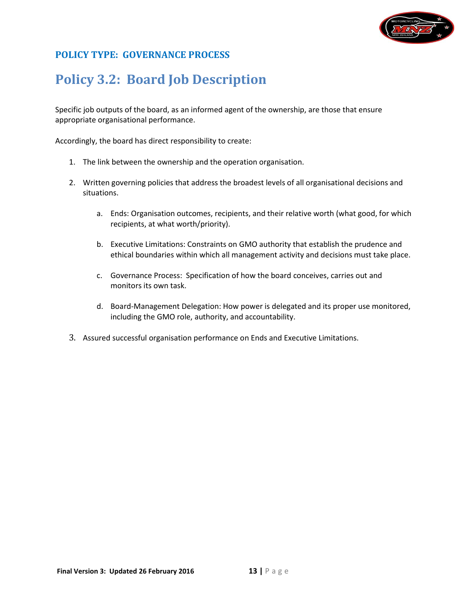

# <span id="page-12-0"></span>**Policy 3.2: Board Job Description**

Specific job outputs of the board, as an informed agent of the ownership, are those that ensure appropriate organisational performance.

Accordingly, the board has direct responsibility to create:

- 1. The link between the ownership and the operation organisation.
- 2. Written governing policies that address the broadest levels of all organisational decisions and situations.
	- a. Ends: Organisation outcomes, recipients, and their relative worth (what good, for which recipients, at what worth/priority).
	- b. Executive Limitations: Constraints on GMO authority that establish the prudence and ethical boundaries within which all management activity and decisions must take place.
	- c. Governance Process: Specification of how the board conceives, carries out and monitors its own task.
	- d. Board-Management Delegation: How power is delegated and its proper use monitored, including the GMO role, authority, and accountability.
- 3. Assured successful organisation performance on Ends and Executive Limitations.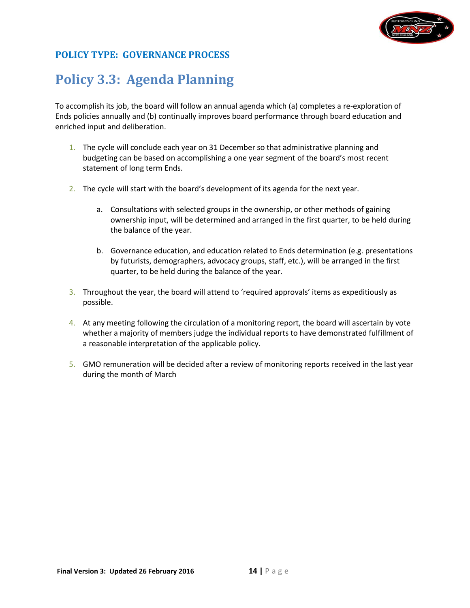

## <span id="page-13-0"></span>**Policy 3.3: Agenda Planning**

To accomplish its job, the board will follow an annual agenda which (a) completes a re-exploration of Ends policies annually and (b) continually improves board performance through board education and enriched input and deliberation.

- 1. The cycle will conclude each year on 31 December so that administrative planning and budgeting can be based on accomplishing a one year segment of the board's most recent statement of long term Ends.
- 2. The cycle will start with the board's development of its agenda for the next year.
	- a. Consultations with selected groups in the ownership, or other methods of gaining ownership input, will be determined and arranged in the first quarter, to be held during the balance of the year.
	- b. Governance education, and education related to Ends determination (e.g. presentations by futurists, demographers, advocacy groups, staff, etc.), will be arranged in the first quarter, to be held during the balance of the year.
- 3. Throughout the year, the board will attend to 'required approvals' items as expeditiously as possible.
- 4. At any meeting following the circulation of a monitoring report, the board will ascertain by vote whether a majority of members judge the individual reports to have demonstrated fulfillment of a reasonable interpretation of the applicable policy.
- 5. GMO remuneration will be decided after a review of monitoring reports received in the last year during the month of March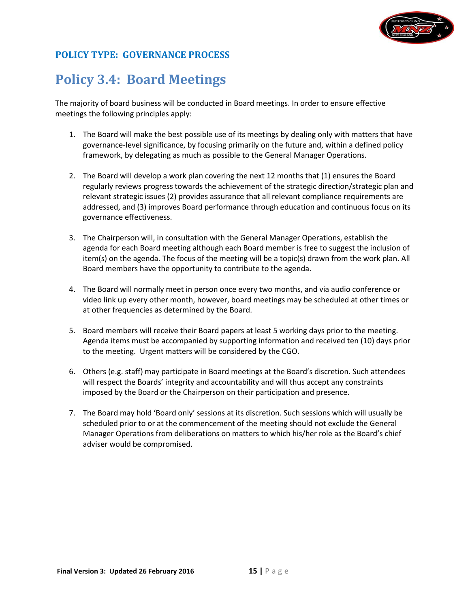

## <span id="page-14-0"></span>**Policy 3.4: Board Meetings**

The majority of board business will be conducted in Board meetings. In order to ensure effective meetings the following principles apply:

- 1. The Board will make the best possible use of its meetings by dealing only with matters that have governance-level significance, by focusing primarily on the future and, within a defined policy framework, by delegating as much as possible to the General Manager Operations.
- 2. The Board will develop a work plan covering the next 12 months that (1) ensures the Board regularly reviews progress towards the achievement of the strategic direction/strategic plan and relevant strategic issues (2) provides assurance that all relevant compliance requirements are addressed, and (3) improves Board performance through education and continuous focus on its governance effectiveness.
- 3. The Chairperson will, in consultation with the General Manager Operations, establish the agenda for each Board meeting although each Board member is free to suggest the inclusion of item(s) on the agenda. The focus of the meeting will be a topic(s) drawn from the work plan. All Board members have the opportunity to contribute to the agenda.
- 4. The Board will normally meet in person once every two months, and via audio conference or video link up every other month, however, board meetings may be scheduled at other times or at other frequencies as determined by the Board.
- 5. Board members will receive their Board papers at least 5 working days prior to the meeting. Agenda items must be accompanied by supporting information and received ten (10) days prior to the meeting. Urgent matters will be considered by the CGO.
- 6. Others (e.g. staff) may participate in Board meetings at the Board's discretion. Such attendees will respect the Boards' integrity and accountability and will thus accept any constraints imposed by the Board or the Chairperson on their participation and presence.
- 7. The Board may hold 'Board only' sessions at its discretion. Such sessions which will usually be scheduled prior to or at the commencement of the meeting should not exclude the General Manager Operations from deliberations on matters to which his/her role as the Board's chief adviser would be compromised.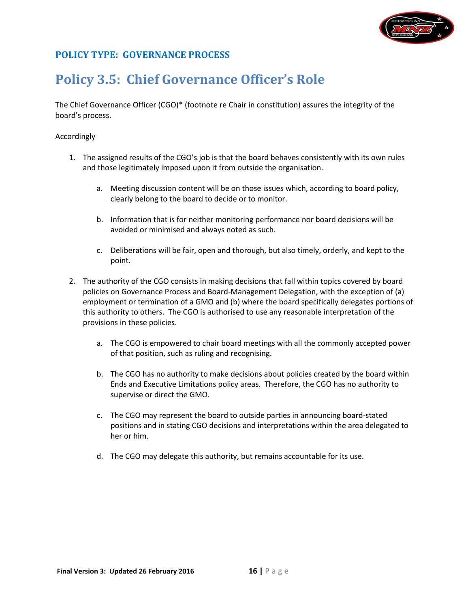

## <span id="page-15-0"></span>**Policy 3.5: Chief Governance Officer's Role**

The Chief Governance Officer (CGO)\* (footnote re Chair in constitution) assures the integrity of the board's process.

#### Accordingly

- 1. The assigned results of the CGO's job is that the board behaves consistently with its own rules and those legitimately imposed upon it from outside the organisation.
	- a. Meeting discussion content will be on those issues which, according to board policy, clearly belong to the board to decide or to monitor.
	- b. Information that is for neither monitoring performance nor board decisions will be avoided or minimised and always noted as such.
	- c. Deliberations will be fair, open and thorough, but also timely, orderly, and kept to the point.
- 2. The authority of the CGO consists in making decisions that fall within topics covered by board policies on Governance Process and Board-Management Delegation, with the exception of (a) employment or termination of a GMO and (b) where the board specifically delegates portions of this authority to others. The CGO is authorised to use any reasonable interpretation of the provisions in these policies.
	- a. The CGO is empowered to chair board meetings with all the commonly accepted power of that position, such as ruling and recognising.
	- b. The CGO has no authority to make decisions about policies created by the board within Ends and Executive Limitations policy areas. Therefore, the CGO has no authority to supervise or direct the GMO.
	- c. The CGO may represent the board to outside parties in announcing board-stated positions and in stating CGO decisions and interpretations within the area delegated to her or him.
	- d. The CGO may delegate this authority, but remains accountable for its use.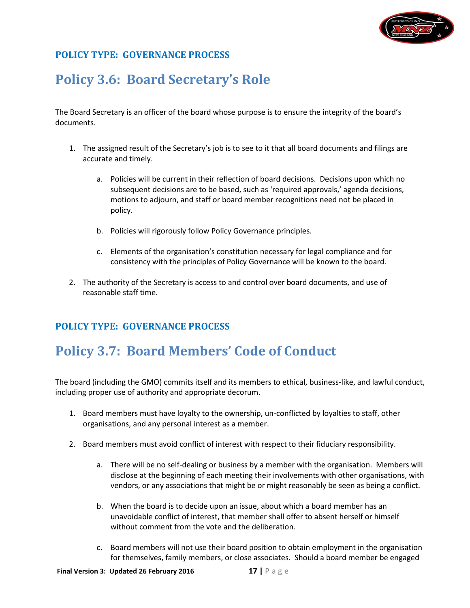

## <span id="page-16-0"></span>**Policy 3.6: Board Secretary's Role**

The Board Secretary is an officer of the board whose purpose is to ensure the integrity of the board's documents.

- 1. The assigned result of the Secretary's job is to see to it that all board documents and filings are accurate and timely.
	- a. Policies will be current in their reflection of board decisions. Decisions upon which no subsequent decisions are to be based, such as 'required approvals,' agenda decisions, motions to adjourn, and staff or board member recognitions need not be placed in policy.
	- b. Policies will rigorously follow Policy Governance principles.
	- c. Elements of the organisation's constitution necessary for legal compliance and for consistency with the principles of Policy Governance will be known to the board.
- 2. The authority of the Secretary is access to and control over board documents, and use of reasonable staff time.

## <span id="page-16-1"></span>**POLICY TYPE: GOVERNANCE PROCESS**

# **Policy 3.7: Board Members' Code of Conduct**

The board (including the GMO) commits itself and its members to ethical, business-like, and lawful conduct, including proper use of authority and appropriate decorum.

- 1. Board members must have loyalty to the ownership, un-conflicted by loyalties to staff, other organisations, and any personal interest as a member.
- 2. Board members must avoid conflict of interest with respect to their fiduciary responsibility.
	- a. There will be no self-dealing or business by a member with the organisation. Members will disclose at the beginning of each meeting their involvements with other organisations, with vendors, or any associations that might be or might reasonably be seen as being a conflict.
	- b. When the board is to decide upon an issue, about which a board member has an unavoidable conflict of interest, that member shall offer to absent herself or himself without comment from the vote and the deliberation*.*
	- c. Board members will not use their board position to obtain employment in the organisation for themselves, family members, or close associates. Should a board member be engaged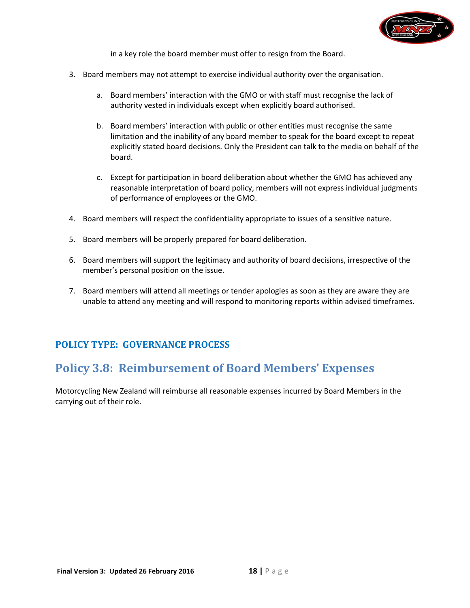

in a key role the board member must offer to resign from the Board.

- 3. Board members may not attempt to exercise individual authority over the organisation.
	- a. Board members' interaction with the GMO or with staff must recognise the lack of authority vested in individuals except when explicitly board authorised.
	- b. Board members' interaction with public or other entities must recognise the same limitation and the inability of any board member to speak for the board except to repeat explicitly stated board decisions. Only the President can talk to the media on behalf of the board.
	- c. Except for participation in board deliberation about whether the GMO has achieved any reasonable interpretation of board policy, members will not express individual judgments of performance of employees or the GMO.
- 4. Board members will respect the confidentiality appropriate to issues of a sensitive nature.
- 5. Board members will be properly prepared for board deliberation.
- 6. Board members will support the legitimacy and authority of board decisions, irrespective of the member's personal position on the issue.
- 7. Board members will attend all meetings or tender apologies as soon as they are aware they are unable to attend any meeting and will respond to monitoring reports within advised timeframes.

#### <span id="page-17-0"></span>**POLICY TYPE: GOVERNANCE PROCESS**

## **Policy 3.8: Reimbursement of Board Members' Expenses**

Motorcycling New Zealand will reimburse all reasonable expenses incurred by Board Members in the carrying out of their role.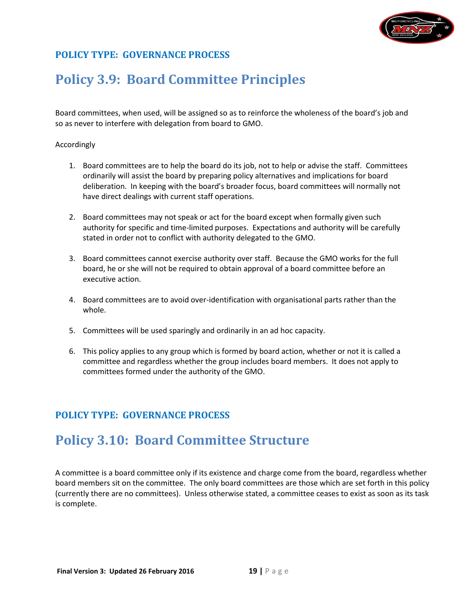

## <span id="page-18-0"></span>**Policy 3.9: Board Committee Principles**

Board committees, when used, will be assigned so as to reinforce the wholeness of the board's job and so as never to interfere with delegation from board to GMO.

#### Accordingly

- 1. Board committees are to help the board do its job, not to help or advise the staff. Committees ordinarily will assist the board by preparing policy alternatives and implications for board deliberation. In keeping with the board's broader focus, board committees will normally not have direct dealings with current staff operations.
- 2. Board committees may not speak or act for the board except when formally given such authority for specific and time-limited purposes. Expectations and authority will be carefully stated in order not to conflict with authority delegated to the GMO.
- 3. Board committees cannot exercise authority over staff. Because the GMO works for the full board, he or she will not be required to obtain approval of a board committee before an executive action.
- 4. Board committees are to avoid over-identification with organisational parts rather than the whole.
- 5. Committees will be used sparingly and ordinarily in an ad hoc capacity.
- 6. This policy applies to any group which is formed by board action, whether or not it is called a committee and regardless whether the group includes board members. It does not apply to committees formed under the authority of the GMO.

#### **POLICY TYPE: GOVERNANCE PROCESS**

## <span id="page-18-1"></span>**Policy 3.10: Board Committee Structure**

A committee is a board committee only if its existence and charge come from the board, regardless whether board members sit on the committee. The only board committees are those which are set forth in this policy (currently there are no committees). Unless otherwise stated, a committee ceases to exist as soon as its task is complete.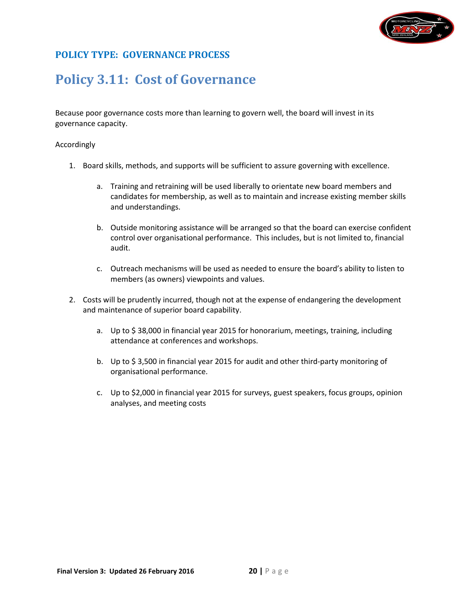

## <span id="page-19-0"></span>**Policy 3.11: Cost of Governance**

Because poor governance costs more than learning to govern well, the board will invest in its governance capacity.

#### Accordingly

- 1. Board skills, methods, and supports will be sufficient to assure governing with excellence.
	- a. Training and retraining will be used liberally to orientate new board members and candidates for membership, as well as to maintain and increase existing member skills and understandings.
	- b. Outside monitoring assistance will be arranged so that the board can exercise confident control over organisational performance. This includes, but is not limited to, financial audit.
	- c. Outreach mechanisms will be used as needed to ensure the board's ability to listen to members (as owners) viewpoints and values.
- 2. Costs will be prudently incurred, though not at the expense of endangering the development and maintenance of superior board capability.
	- a. Up to \$ 38,000 in financial year 2015 for honorarium, meetings, training, including attendance at conferences and workshops.
	- b. Up to \$ 3,500 in financial year 2015 for audit and other third-party monitoring of organisational performance.
	- c. Up to \$2,000 in financial year 2015 for surveys, guest speakers, focus groups, opinion analyses, and meeting costs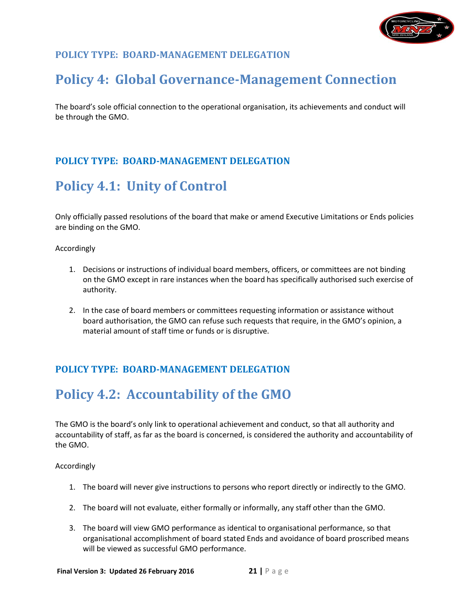

## <span id="page-20-1"></span><span id="page-20-0"></span>**Policy 4: Global Governance-Management Connection**

The board's sole official connection to the operational organisation, its achievements and conduct will be through the GMO.

## **POLICY TYPE: BOARD-MANAGEMENT DELEGATION**

## <span id="page-20-2"></span>**Policy 4.1: Unity of Control**

Only officially passed resolutions of the board that make or amend Executive Limitations or Ends policies are binding on the GMO.

Accordingly

- 1. Decisions or instructions of individual board members, officers, or committees are not binding on the GMO except in rare instances when the board has specifically authorised such exercise of authority.
- 2. In the case of board members or committees requesting information or assistance without board authorisation, the GMO can refuse such requests that require, in the GMO's opinion, a material amount of staff time or funds or is disruptive.

## **POLICY TYPE: BOARD-MANAGEMENT DELEGATION**

## <span id="page-20-3"></span>**Policy 4.2: Accountability of the GMO**

The GMO is the board's only link to operational achievement and conduct, so that all authority and accountability of staff, as far as the board is concerned, is considered the authority and accountability of the GMO.

Accordingly

- 1. The board will never give instructions to persons who report directly or indirectly to the GMO.
- 2. The board will not evaluate, either formally or informally, any staff other than the GMO.
- 3. The board will view GMO performance as identical to organisational performance, so that organisational accomplishment of board stated Ends and avoidance of board proscribed means will be viewed as successful GMO performance.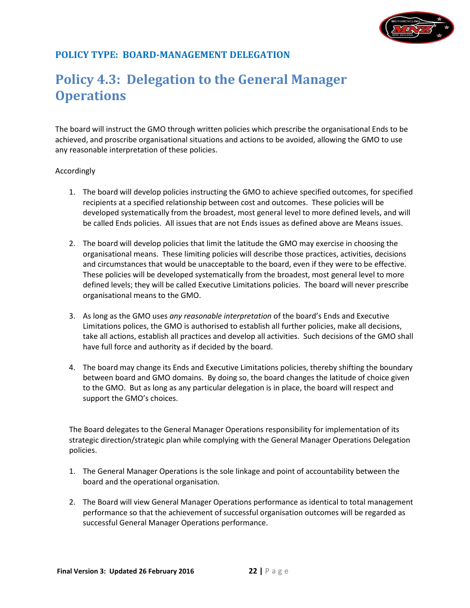

## <span id="page-21-0"></span>**Policy 4.3: Delegation to the General Manager Operations**

The board will instruct the GMO through written policies which prescribe the organisational Ends to be achieved, and proscribe organisational situations and actions to be avoided, allowing the GMO to use any reasonable interpretation of these policies.

#### Accordingly

- 1. The board will develop policies instructing the GMO to achieve specified outcomes, for specified recipients at a specified relationship between cost and outcomes. These policies will be developed systematically from the broadest, most general level to more defined levels, and will be called Ends policies. All issues that are not Ends issues as defined above are Means issues.
- 2. The board will develop policies that limit the latitude the GMO may exercise in choosing the organisational means. These limiting policies will describe those practices, activities, decisions and circumstances that would be unacceptable to the board, even if they were to be effective. These policies will be developed systematically from the broadest, most general level to more defined levels; they will be called Executive Limitations policies. The board will never prescribe organisational means to the GMO.
- 3. As long as the GMO uses *any reasonable interpretation* of the board's Ends and Executive Limitations polices, the GMO is authorised to establish all further policies, make all decisions, take all actions, establish all practices and develop all activities. Such decisions of the GMO shall have full force and authority as if decided by the board.
- 4. The board may change its Ends and Executive Limitations policies, thereby shifting the boundary between board and GMO domains. By doing so, the board changes the latitude of choice given to the GMO. But as long as any particular delegation is in place, the board will respect and support the GMO's choices.

The Board delegates to the General Manager Operations responsibility for implementation of its strategic direction/strategic plan while complying with the General Manager Operations Delegation policies.

- 1. The General Manager Operations is the sole linkage and point of accountability between the board and the operational organisation.
- 2. The Board will view General Manager Operations performance as identical to total management performance so that the achievement of successful organisation outcomes will be regarded as successful General Manager Operations performance.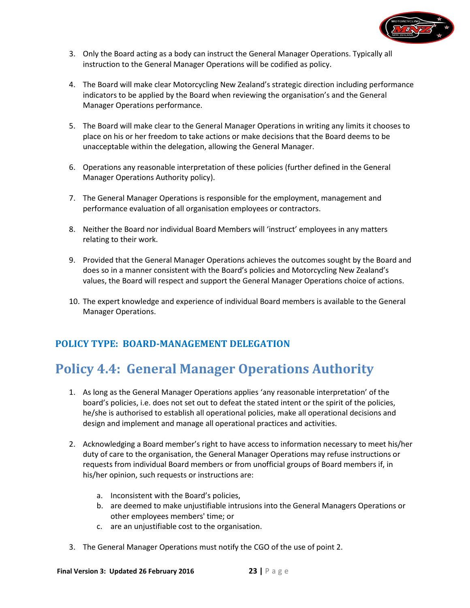

- 3. Only the Board acting as a body can instruct the General Manager Operations. Typically all instruction to the General Manager Operations will be codified as policy.
- 4. The Board will make clear Motorcycling New Zealand's strategic direction including performance indicators to be applied by the Board when reviewing the organisation's and the General Manager Operations performance.
- 5. The Board will make clear to the General Manager Operations in writing any limits it chooses to place on his or her freedom to take actions or make decisions that the Board deems to be unacceptable within the delegation, allowing the General Manager.
- 6. Operations any reasonable interpretation of these policies (further defined in the General Manager Operations Authority policy).
- 7. The General Manager Operations is responsible for the employment, management and performance evaluation of all organisation employees or contractors.
- 8. Neither the Board nor individual Board Members will 'instruct' employees in any matters relating to their work.
- 9. Provided that the General Manager Operations achieves the outcomes sought by the Board and does so in a manner consistent with the Board's policies and Motorcycling New Zealand's values, the Board will respect and support the General Manager Operations choice of actions.
- 10. The expert knowledge and experience of individual Board members is available to the General Manager Operations.

## <span id="page-22-0"></span>**Policy 4.4: General Manager Operations Authority**

- 1. As long as the General Manager Operations applies 'any reasonable interpretation' of the board's policies, i.e. does not set out to defeat the stated intent or the spirit of the policies, he/she is authorised to establish all operational policies, make all operational decisions and design and implement and manage all operational practices and activities.
- 2. Acknowledging a Board member's right to have access to information necessary to meet his/her duty of care to the organisation, the General Manager Operations may refuse instructions or requests from individual Board members or from unofficial groups of Board members if, in his/her opinion, such requests or instructions are:
	- a. Inconsistent with the Board's policies,
	- b. are deemed to make unjustifiable intrusions into the General Managers Operations or other employees members' time; or
	- c. are an unjustifiable cost to the organisation.
- 3. The General Manager Operations must notify the CGO of the use of point 2.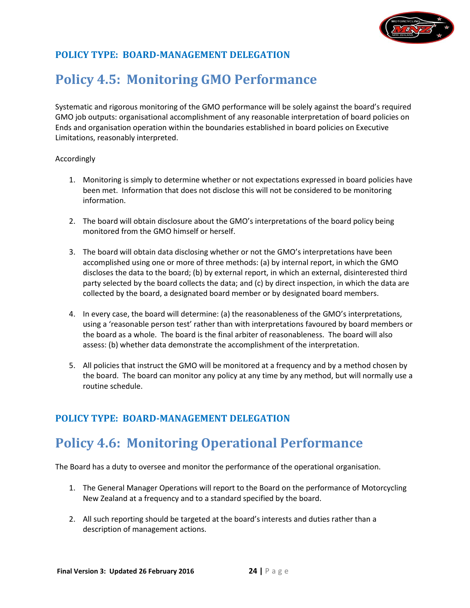

## <span id="page-23-0"></span>**Policy 4.5: Monitoring GMO Performance**

Systematic and rigorous monitoring of the GMO performance will be solely against the board's required GMO job outputs: organisational accomplishment of any reasonable interpretation of board policies on Ends and organisation operation within the boundaries established in board policies on Executive Limitations, reasonably interpreted.

#### Accordingly

- 1. Monitoring is simply to determine whether or not expectations expressed in board policies have been met. Information that does not disclose this will not be considered to be monitoring information.
- 2. The board will obtain disclosure about the GMO's interpretations of the board policy being monitored from the GMO himself or herself.
- 3. The board will obtain data disclosing whether or not the GMO's interpretations have been accomplished using one or more of three methods: (a) by internal report, in which the GMO discloses the data to the board; (b) by external report, in which an external, disinterested third party selected by the board collects the data; and (c) by direct inspection, in which the data are collected by the board, a designated board member or by designated board members.
- 4. In every case, the board will determine: (a) the reasonableness of the GMO's interpretations, using a 'reasonable person test' rather than with interpretations favoured by board members or the board as a whole. The board is the final arbiter of reasonableness. The board will also assess: (b) whether data demonstrate the accomplishment of the interpretation.
- 5. All policies that instruct the GMO will be monitored at a frequency and by a method chosen by the board. The board can monitor any policy at any time by any method, but will normally use a routine schedule.

#### <span id="page-23-1"></span>**POLICY TYPE: BOARD-MANAGEMENT DELEGATION**

## **Policy 4.6: Monitoring Operational Performance**

The Board has a duty to oversee and monitor the performance of the operational organisation.

- 1. The General Manager Operations will report to the Board on the performance of Motorcycling New Zealand at a frequency and to a standard specified by the board.
- 2. All such reporting should be targeted at the board's interests and duties rather than a description of management actions.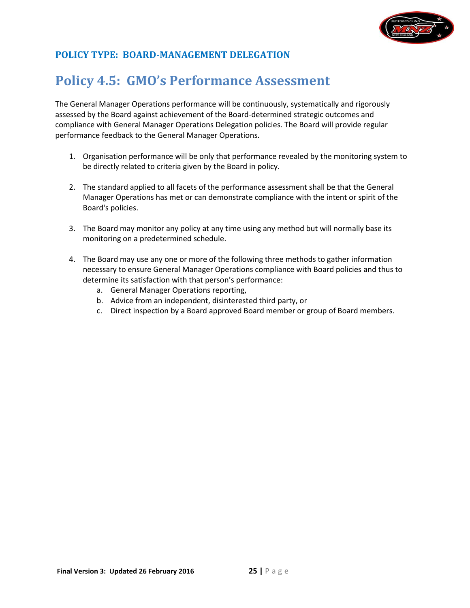

## **Policy 4.5: GMO's Performance Assessment**

The General Manager Operations performance will be continuously, systematically and rigorously assessed by the Board against achievement of the Board-determined strategic outcomes and compliance with General Manager Operations Delegation policies. The Board will provide regular performance feedback to the General Manager Operations.

- 1. Organisation performance will be only that performance revealed by the monitoring system to be directly related to criteria given by the Board in policy.
- 2. The standard applied to all facets of the performance assessment shall be that the General Manager Operations has met or can demonstrate compliance with the intent or spirit of the Board's policies.
- 3. The Board may monitor any policy at any time using any method but will normally base its monitoring on a predetermined schedule.
- 4. The Board may use any one or more of the following three methods to gather information necessary to ensure General Manager Operations compliance with Board policies and thus to determine its satisfaction with that person's performance:
	- a. General Manager Operations reporting,
	- b. Advice from an independent, disinterested third party, or
	- c. Direct inspection by a Board approved Board member or group of Board members.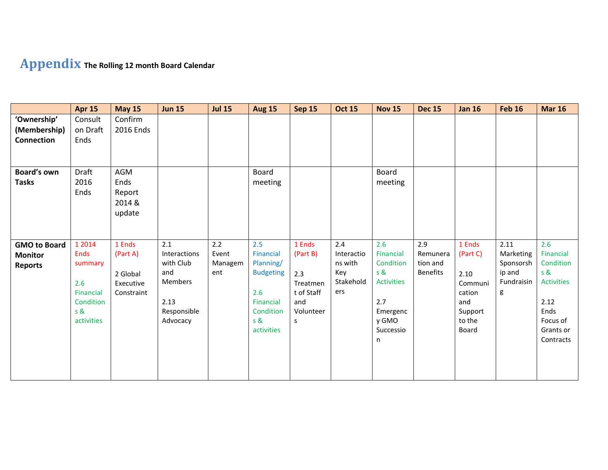# **Appendix The Rolling 12 month Board Calendar**

|                                                         | <b>Apr 15</b>                                                                                 | <b>May 15</b>                                             | <b>Jun 15</b>                                                                         | <b>Jul 15</b>                  | <b>Aug 15</b>                                                                                           | <b>Sep 15</b>                                                                | <b>Oct 15</b>                                           | <b>Nov 15</b>                                                                                           | <b>Dec 15</b>                                  | <b>Jan 16</b>                                                                        | <b>Feb 16</b>                                               | <b>Mar 16</b>                                                                                                          |
|---------------------------------------------------------|-----------------------------------------------------------------------------------------------|-----------------------------------------------------------|---------------------------------------------------------------------------------------|--------------------------------|---------------------------------------------------------------------------------------------------------|------------------------------------------------------------------------------|---------------------------------------------------------|---------------------------------------------------------------------------------------------------------|------------------------------------------------|--------------------------------------------------------------------------------------|-------------------------------------------------------------|------------------------------------------------------------------------------------------------------------------------|
| 'Ownership'<br>(Membership)<br><b>Connection</b>        | Consult<br>on Draft<br>Ends                                                                   | Confirm<br>2016 Ends                                      |                                                                                       |                                |                                                                                                         |                                                                              |                                                         |                                                                                                         |                                                |                                                                                      |                                                             |                                                                                                                        |
| Board's own<br><b>Tasks</b>                             | Draft<br>2016<br>Ends                                                                         | AGM<br>Ends<br>Report<br>2014 &<br>update                 |                                                                                       |                                | Board<br>meeting                                                                                        |                                                                              |                                                         | Board<br>meeting                                                                                        |                                                |                                                                                      |                                                             |                                                                                                                        |
| <b>GMO to Board</b><br><b>Monitor</b><br><b>Reports</b> | 1 2014<br><b>Ends</b><br>summary<br>2.6<br><b>Financial</b><br>Condition<br>s &<br>activities | 1 Ends<br>(Part A)<br>2 Global<br>Executive<br>Constraint | 2.1<br>Interactions<br>with Club<br>and<br>Members<br>2.13<br>Responsible<br>Advocacy | 2.2<br>Event<br>Managem<br>ent | 2.5<br>Financial<br>Planning/<br><b>Budgeting</b><br>2.6<br>Financial<br>Condition<br>s &<br>activities | 1 Ends<br>(Part B)<br>2.3<br>Treatmen<br>t of Staff<br>and<br>Volunteer<br>s | 2.4<br>Interactio<br>ns with<br>Key<br>Stakehold<br>ers | 2.6<br>Financial<br>Condition<br>s &<br><b>Activities</b><br>2.7<br>Emergenc<br>y GMO<br>Successio<br>n | 2.9<br>Remunera<br>tion and<br><b>Benefits</b> | 1 Ends<br>(Part C)<br>2.10<br>Communi<br>cation<br>and<br>Support<br>to the<br>Board | 2.11<br>Marketing<br>Sponsorsh<br>ip and<br>Fundraisin<br>g | 2.6<br><b>Financial</b><br>Condition<br>s &<br><b>Activities</b><br>2.12<br>Ends<br>Focus of<br>Grants or<br>Contracts |